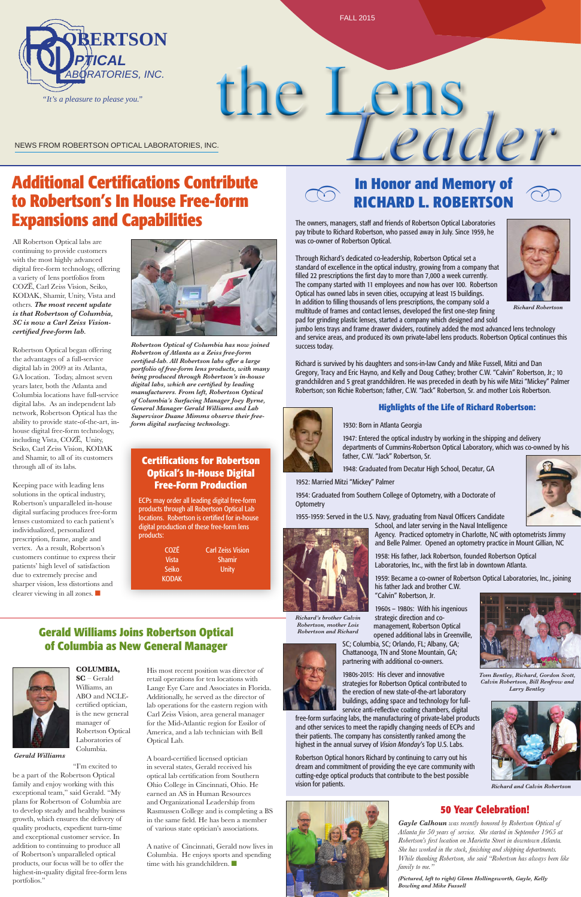All Robertson Optical labs are continuing to provide customers with the most highly advanced digital free-form technology, offering a variety of lens portfolios from COZ¯E , Carl Zeiss Vision, Seiko, KODAK, Shamir, Unity, Vista and others. *The most recent update is that Robertson of Columbia, SC is now a Carl Zeiss Visioncertified free-form lab.* 

Keeping pace with leading lens solutions in the optical industry, Robertson's unparalleled in-house digital surfacing produces free-form lenses customized to each patient's individualized, personalized prescription, frame, angle and vertex. As a result, Robertson's customers continue to express their patients' high level of satisfaction due to extremely precise and sharper vision, less distortions and clearer viewing in all zones.  $\blacksquare$ 



Robertson Optical began offering the advantages of a full-service digital lab in 2009 at its Atlanta, GA location. Today, almost seven years later, both the Atlanta and Columbia locations have full-service digital labs. As an independent lab network, Robertson Optical has the ability to provide state-of-the-art, inhouse digital free-form technology, including Vista, COZE, Unity, Seiko, Carl Zeiss Vision, KODAK and Shamir, to all of its customers through all of its labs.

> A native of Cincinnati, Gerald now lives in Columbia. He enjoys sports and spending time with his grandchildren.  $\blacksquare$

the Lens NEWS FROM ROBERTSON OPTICAL LABORATORIES, INC.

> His most recent position was director of retail operations for ten locations with Lange Eye Care and Associates in Florida. Additionally, he served as the director of lab operations for the eastern region with Carl Zeiss Vision, area general manager for the Mid-Atlantic region for Essilor of America, and a lab technician with Bell Optical Lab.

# **In Honor and Memory of RICHARD L. ROBERTSON** In Honor and Memory or  $\oslash$ <br>RICHARD L. ROBERTSON

A board-certified licensed optician in several states, Gerald received his optical lab certification from Southern Ohio College in Cincinnati, Ohio. He earned an AS in Human Resources and Organizational Leadership from Rasmussen College and is completing a BS in the same field. He has been a member of various state optician's associations.

# **Additional Certifications Contribute to Robertson's In House Free-form Expansions and Capabilities**



FALL 2015

# **Gerald Williams Joins Robertson Optical of Columbia as New General Manager**

1954: Graduated from Southern College of Optometry, with a Doctorate of **Optometry** 

**COLUMBIA, SC** – Gerald Williams, an ABO and NCLEcertified optician, is the new general manager of Robertson Optical Laboratories of Columbia.

"I'm excited to

be a part of the Robertson Optical family and enjoy working with this exceptional team," said Gerald. "My plans for Robertson of Columbia are to develop steady and healthy business growth, which ensures the delivery of quality products, expedient turn-time and exceptional customer service. In addition to continuing to produce all of Robertson's unparalleled optical products, our focus will be to offer the highest-in-quality digital free-form lens portfolios."

*Gerald Williams*

The owners, managers, staff and friends of Robertson Optical Laboratories pay tribute to Richard Robertson, who passed away in July. Since 1959, he was co-owner of Robertson Optical.

Through Richard's dedicated co-leadership, Robertson Optical set a standard of excellence in the optical industry, growing from a company that filled 22 prescriptions the first day to more than 7,000 a week currently. The company started with 11 employees and now has over 100. Robertson Optical has owned labs in seven cities, occupying at least 15 buildings. In addition to filling thousands of lens prescriptions, the company sold a multitude of frames and contact lenses, developed the first one-step fining pad for grinding plastic lenses, started a company which designed and sold

jumbo lens trays and frame drawer dividers, routinely added the most advanced lens technology and service areas, and produced its own private-label lens products. Robertson Optical continues this success today.

Richard is survived by his daughters and sons-in-law Candy and Mike Fussell, Mitzi and Dan Gregory, Tracy and Eric Hayno, and Kelly and Doug Cathey; brother C.W. "Calvin" Robertson, Jr.; 10 grandchildren and 5 great grandchildren. He was preceded in death by his wife Mitzi "Mickey" Palmer Robertson; son Richie Robertson; father, C.W. "Jack" Robertson, Sr. and mother Lois Robertson.



### **Highlights of the Life of Richard Robertson:**

### 1930: Born in Atlanta Georgia

1947: Entered the optical industry by working in the shipping and delivery departments of Cummins-Robertson Optical Laboratory, which was co-owned by his father, C.W. "Jack" Robertson, Sr.

1948: Graduated from Decatur High School, Decatur, GA

1952: Married Mitzi "Mickey" Palmer

1955-1959: Served in the U.S. Navy, graduating from Naval Officers Candidate School, and later serving in the Naval Intelligence







1958: His father, Jack Robertson, founded Robertson Optical

1959: Became a co-owner of Robertson Optical Laboratories, Inc., joining

"Calvin" Robertson, Jr.

1960s – 1980s: With his ingenious strategic direction and comanagement, Robertson Optical opened additional labs in Greenville, SC; Columbia, SC; Orlando, FL; Albany, GA;

Chattanooga, TN and Stone Mountain, GA;

# partnering with additional co-owners.



1980s-2015: His clever and innovative strategies for Robertson Optical contributed to the erection of new state-of-the-art laboratory buildings, adding space and technology for fullservice anti-reflective coating chambers, digital

free-form surfacing labs, the manufacturing of private-label products and other services to meet the rapidly changing needs of ECPs and their patients. The company has consistently ranked among the highest in the annual survey of *Vision Monday*'s Top U.S. Labs.

Robertson Optical honors Richard by continuing to carry out his dream and commitment of providing the eye care community with cutting-edge optical products that contribute to the best possible vision for patients.





*Richard's brother Calvin Robertson, mother Lois Robertson and Richard*



### **Certifications for Robertson Optical's In-House Digital Free-Form Production**

ECPs may order all leading digital free-form products through all Robertson Optical Lab locations. Robertson is certified for in-house digital production of these free-form lens products:

Vi

KO

| <b>COZĒ</b>  | <b>Carl Zeiss Vision</b> |
|--------------|--------------------------|
| <b>Vista</b> | <b>Shamir</b>            |
| Seiko        | Unity                    |
| (ODAK        |                          |

*Robertson Optical of Columbia has now joined Robertson of Atlanta as a Zeiss free-form certified-lab. All Robertson labs offer a large portfolio of free-form lens products, with many being produced through Robertson's in-house digital labs, which are certified by leading manufacturers. From left, Robertson Optical of Columbia's Surfacing Manager Joey Byrne, General Manager Gerald Williams and Lab Supervisor Duane Mimms observe their freeform digital surfacing technology.*



*Gayle Calhoun was recently honored by Robertson Optical of Atlanta for 50 years of service. She started in September 1965 at Robertson's first location on Marietta Street in downtown Atlanta. She has worked in the stock, finishing and shipping departments. While thanking Robertson, she said "Robertson has always been like family to me."*

*(Pictured, left to right) Glenn Hollingsworth, Gayle, Kelly Bowling and Mike Fussell*

### **50 Year Celebration!**

*Tom Bentley, Richard, Gordon Scott, Calvin Robertson, Bill Renfrow and Larry Bentley*



*Richard and Calvin Robertson*



*Richard Robertson*